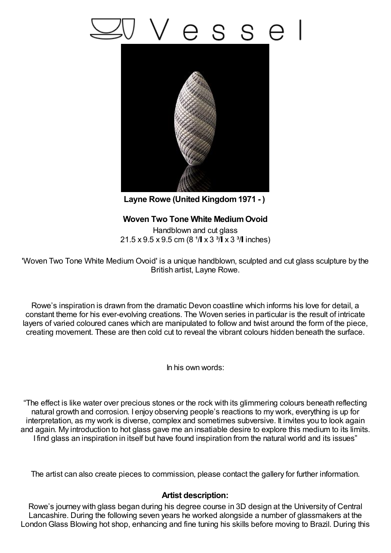## esse



**Layne Rowe (United Kingdom1971 - )**

## **Woven Two Tone White MediumOvoid**

Handblown and cut glass  $21.5 \times 9.5 \times 9.5$  cm (8  $1/\sqrt{ } \times 3 \frac{3}{\sqrt{ } }$  x 3  $3/\sqrt{ }$  inches)

'Woven Two Tone White Medium Ovoid' is a unique handblown, sculpted and cut glass sculpture by the British artist, Layne Rowe.

Rowe's inspiration is drawn from the dramatic Devon coastline which informs his love for detail, a constant theme for his ever-evolving creations. The Woven series in particular is the result of intricate layers of varied coloured canes which are manipulated to follow and twist around the form of the piece, creating movement. These are then cold cut to reveal the vibrant colours hidden beneath the surface.

In his own words:

"The effect is like water over precious stones or the rock with its glimmering colours beneath reflecting natural growth and corrosion. I enjoy observing people's reactions to my work, everything is up for interpretation, as my work is diverse, complex and sometimes subversive. It invites you to look again and again. My introduction to hot glass gave me an insatiable desire to explore this medium to its limits. I find glass an inspiration in itself but have found inspiration from the natural world and its issues"

The artist can also create pieces to commission, please contact the gallery for further information.

## **Artist description:**

Rowe's journey with glass began during his degree course in 3D design at the University of Central Lancashire. During the following seven years he worked alongside a number of glassmakers at the LondonGlass Blowing hot shop, enhancing and fine tuning his skills before moving to Brazil. During this